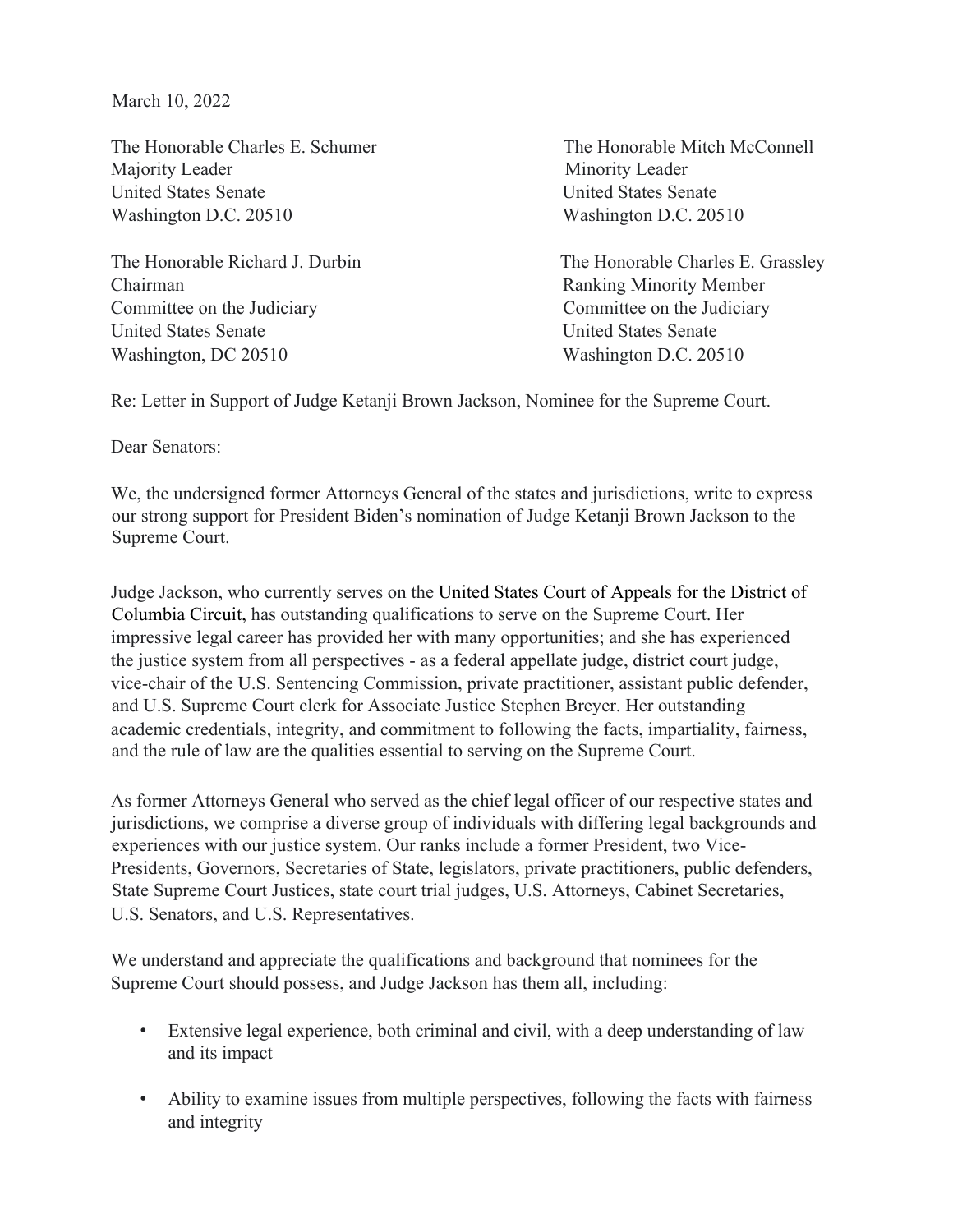March 10, 2022

The Honorable Charles E. Schumer The Honorable Mitch McConnell Majority Leader Minority Leader United States Senate United States Senate Washington D.C. 20510 Washington D.C. 20510

Chairman Ranking Minority Member Committee on the Judiciary Committee on the Judiciary United States Senate United States Senate Washington, DC 20510 Washington D.C. 20510

The Honorable Richard J. Durbin The Honorable Charles E. Grassley

Re: Letter in Support of Judge Ketanji Brown Jackson, Nominee for the Supreme Court.

Dear Senators:

We, the undersigned former Attorneys General of the states and jurisdictions, write to express our strong support for President Biden's nomination of Judge Ketanji Brown Jackson to the Supreme Court.

Judge Jackson, who currently serves on the United States Court of Appeals for the District of Columbia Circuit, has outstanding qualifications to serve on the Supreme Court. Her impressive legal career has provided her with many opportunities; and she has experienced the justice system from all perspectives - as a federal appellate judge, district court judge, vice-chair of the U.S. Sentencing Commission, private practitioner, assistant public defender, and U.S. Supreme Court clerk for Associate Justice Stephen Breyer. Her outstanding academic credentials, integrity, and commitment to following the facts, impartiality, fairness, and the rule of law are the qualities essential to serving on the Supreme Court.

As former Attorneys General who served as the chief legal officer of our respective states and jurisdictions, we comprise a diverse group of individuals with differing legal backgrounds and experiences with our justice system. Our ranks include a former President, two Vice-Presidents, Governors, Secretaries of State, legislators, private practitioners, public defenders, State Supreme Court Justices, state court trial judges, U.S. Attorneys, Cabinet Secretaries, U.S. Senators, and U.S. Representatives.

We understand and appreciate the qualifications and background that nominees for the Supreme Court should possess, and Judge Jackson has them all, including:

- Extensive legal experience, both criminal and civil, with a deep understanding of law and its impact
- Ability to examine issues from multiple perspectives, following the facts with fairness and integrity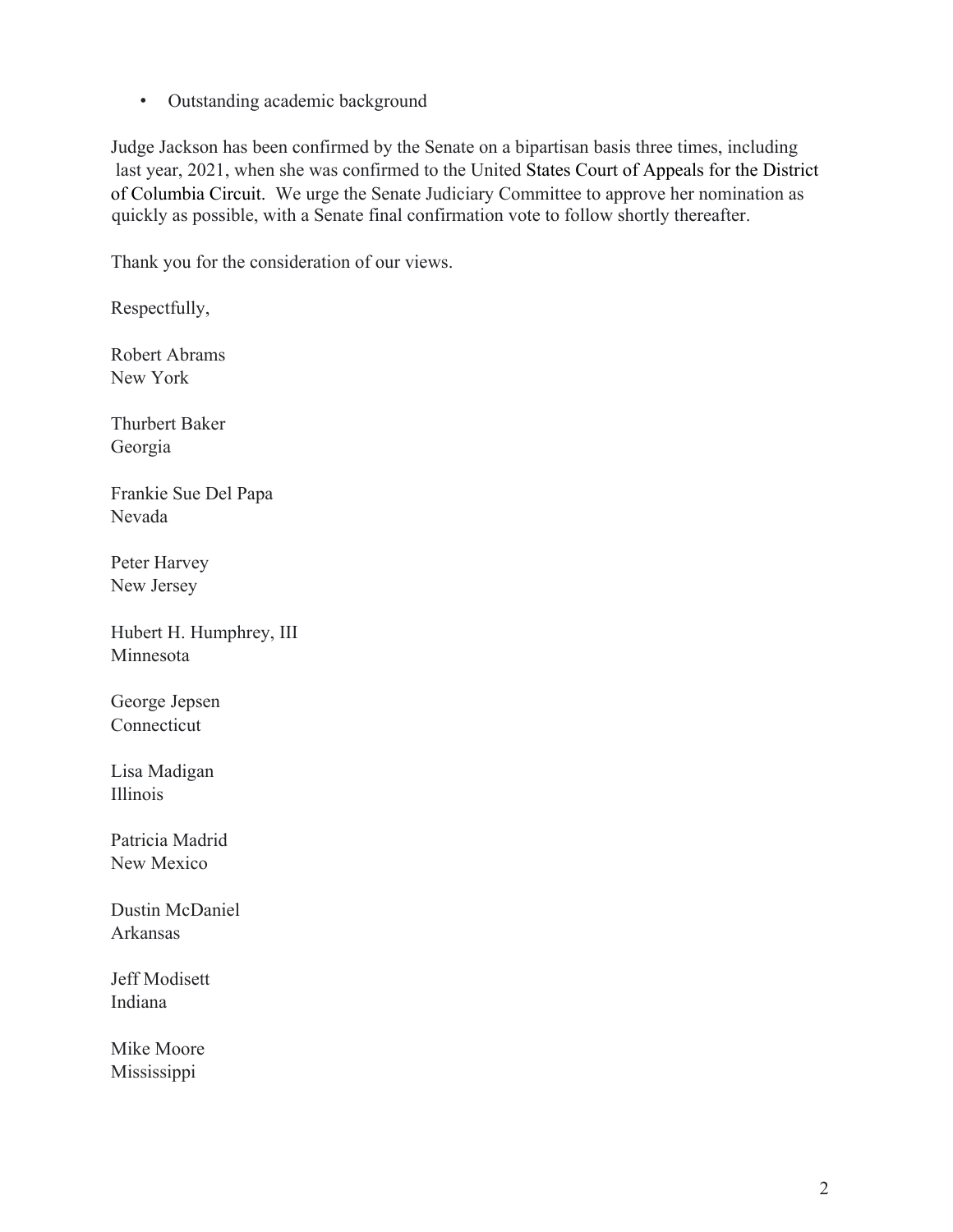• Outstanding academic background

Judge Jackson has been confirmed by the Senate on a bipartisan basis three times, including last year, 2021, when she was confirmed to the United States Court of Appeals for the District of Columbia Circuit. We urge the Senate Judiciary Committee to approve her nomination as quickly as possible, with a Senate final confirmation vote to follow shortly thereafter.

Thank you for the consideration of our views.

Respectfully,

Robert Abrams New York

Thurbert Baker Georgia

Frankie Sue Del Papa Nevada

Peter Harvey New Jersey

Hubert H. Humphrey, III Minnesota

George Jepsen Connecticut

Lisa Madigan Illinois

Patricia Madrid New Mexico

Dustin McDaniel Arkansas

Jeff Modisett Indiana

Mike Moore Mississippi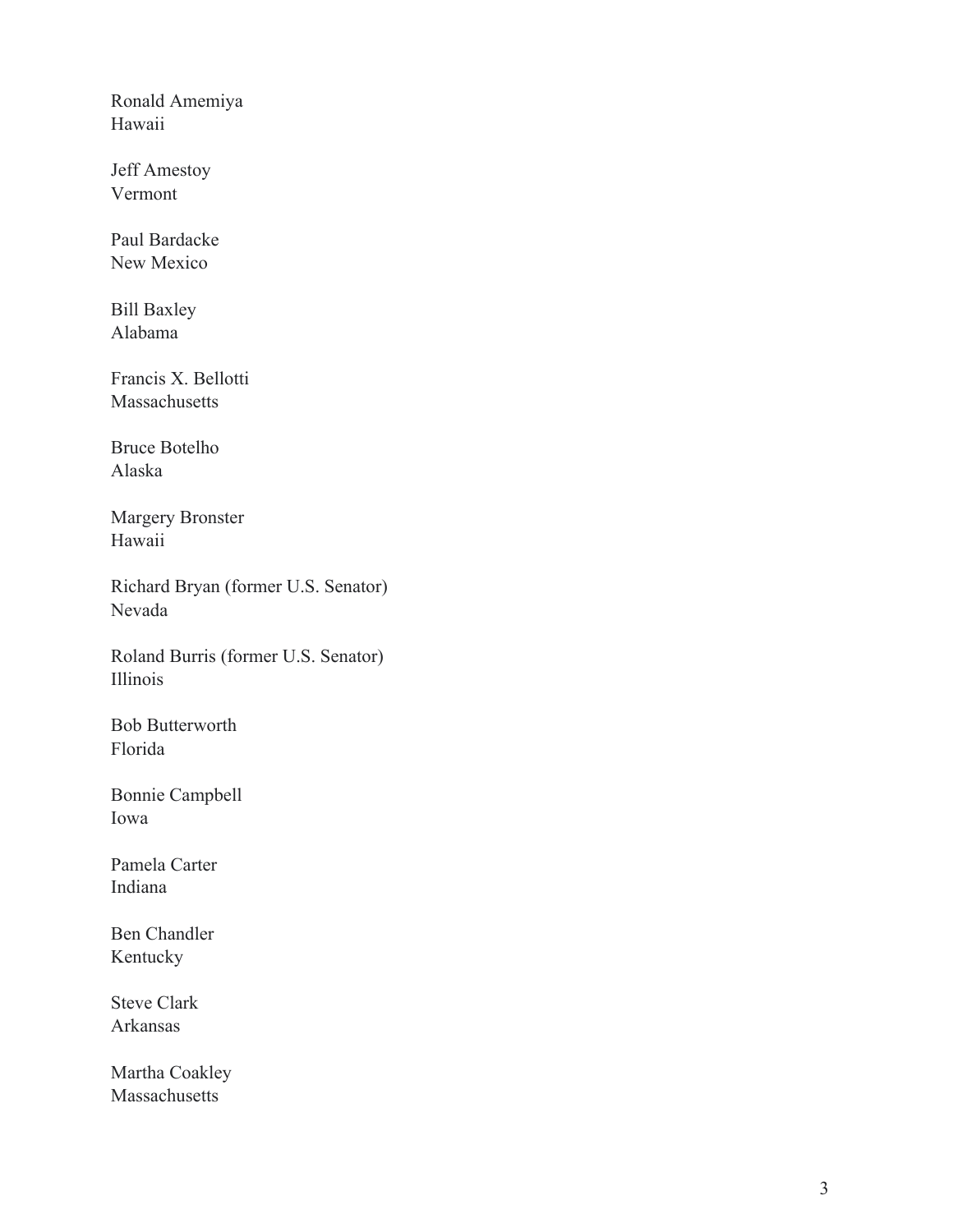Ronald Amemiya Hawaii

Jeff Amestoy Vermont

Paul Bardacke New Mexico

Bill Baxley Alabama

Francis X. Bellotti Massachusetts

Bruce Botelho Alaska

Margery Bronster Hawaii

Richard Bryan (former U.S. Senator) Nevada

Roland Burris (former U.S. Senator) Illinois

Bob Butterworth Florida

Bonnie Campbell Iowa

Pamela Carter Indiana

Ben Chandler Kentucky

Steve Clark Arkansas

Martha Coakley Massachusetts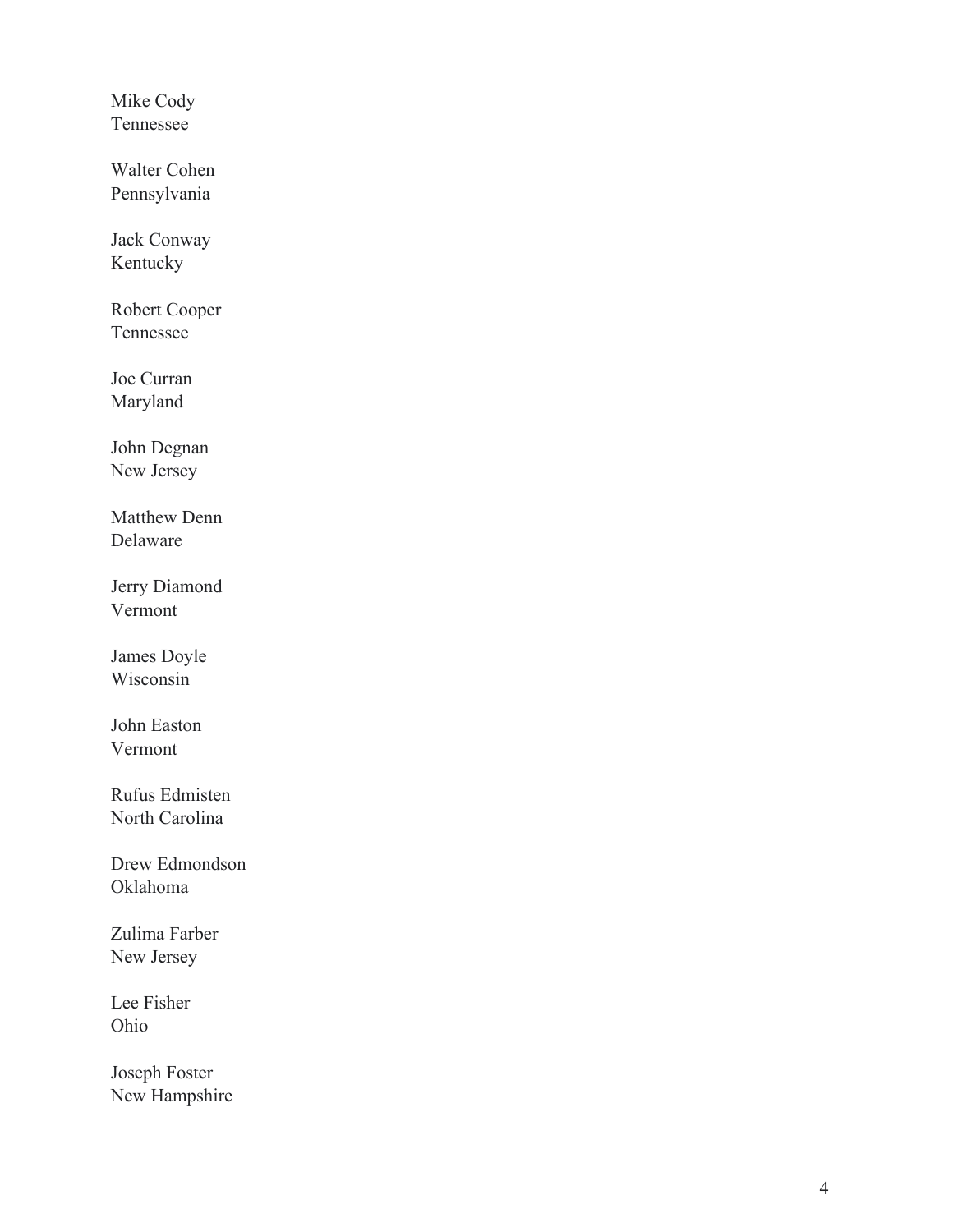Mike Cody Tennessee

Walter Cohen Pennsylvania

Jack Conway Kentucky

Robert Cooper Tennessee

Joe Curran Maryland

John Degnan New Jersey

Matthew Denn Delaware

Jerry Diamond Vermont James Doyle

Wisconsin

John Easton Vermont

Rufus Edmisten North Carolina

Drew Edmondson Oklahoma

Zulima Farber New Jersey

Lee Fisher Ohio

Joseph Foster New Hampshire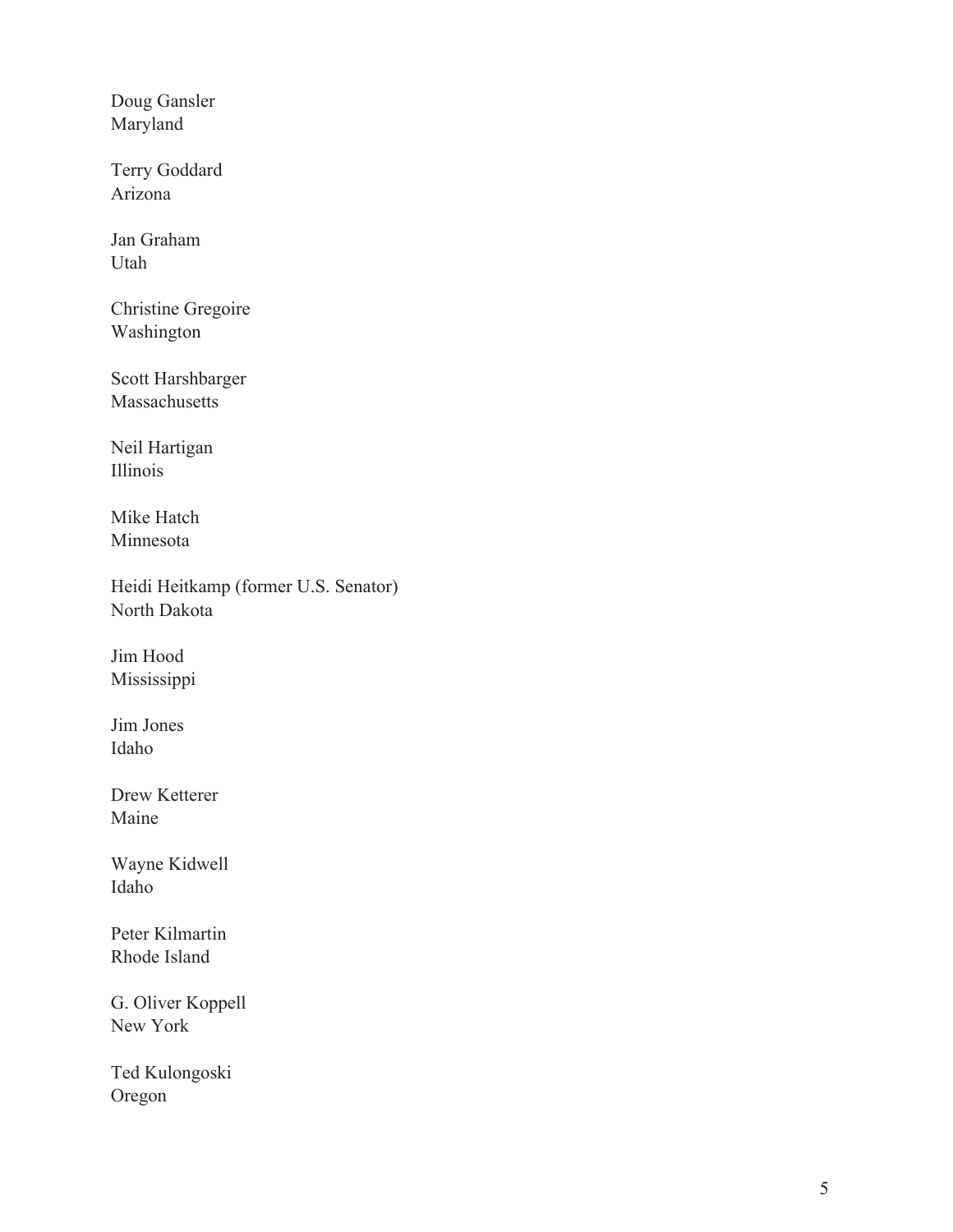Doug Gansler Maryland

Terry Goddard Arizona

Jan Graham Utah

Christine Gregoire Washington

Scott Harshbarger Massachusetts

Neil Hartigan Illinois

Mike Hatch Minnesota

Heidi Heitkamp (former U.S. Senator) North Dakota

Jim Hood Mississippi

Jim Jones Idaho

Drew Ketterer Maine

Wayne Kidwell Idaho

Peter Kilmartin Rhode Island

G. Oliver Koppell New York

Ted Kulongoski Oregon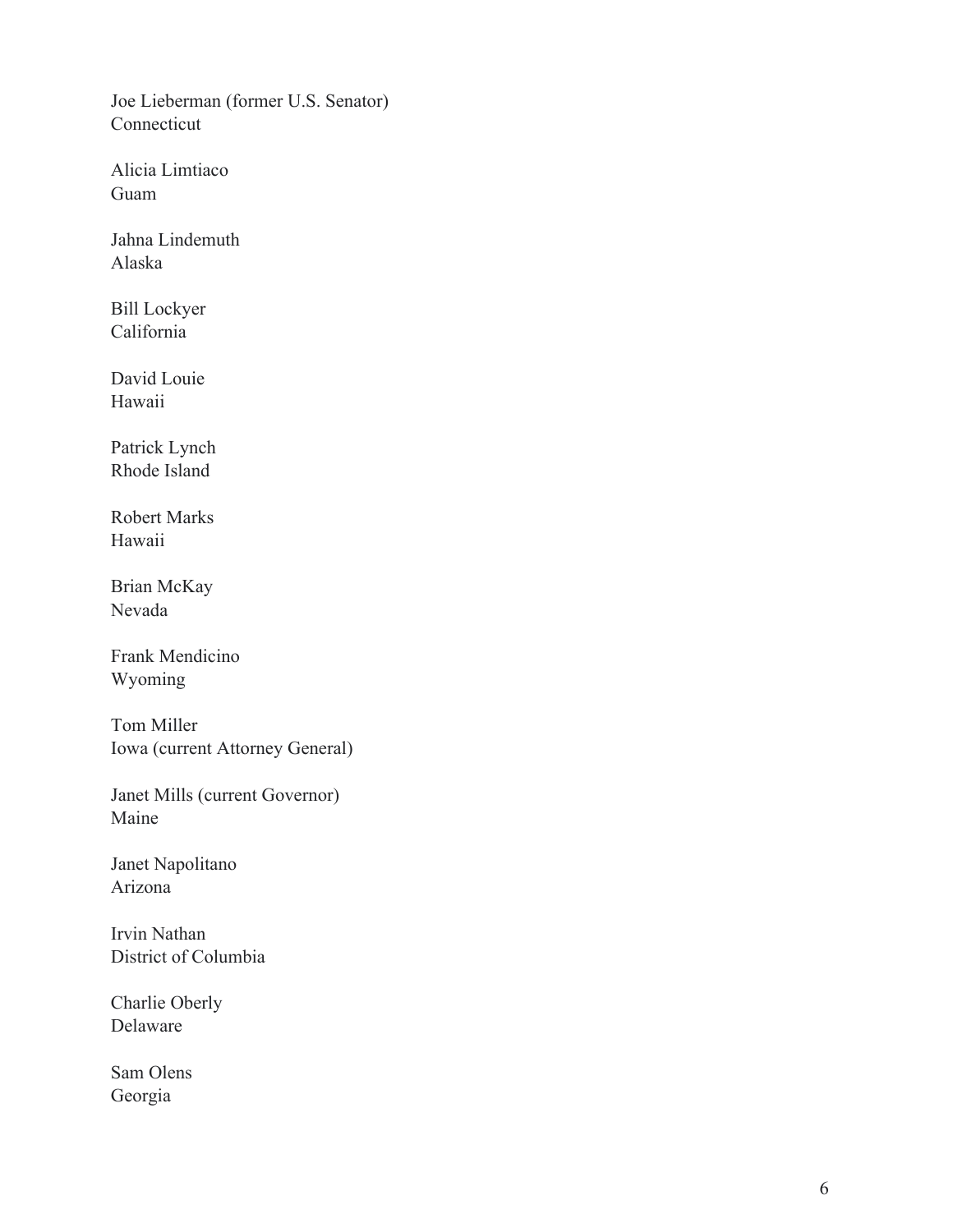Joe Lieberman (former U.S. Senator) Connecticut

Alicia Limtiaco Guam

Jahna Lindemuth Alaska

Bill Lockyer California

David Louie Hawaii

Patrick Lynch Rhode Island

Robert Marks Hawaii

Brian McKay Nevada

Frank Mendicino Wyoming

Tom Miller Iowa (current Attorney General)

Janet Mills (current Governor) Maine

Janet Napolitano Arizona

Irvi n Nathan District of Columbia

Charlie Oberly Delaware

Sam Olens Georgia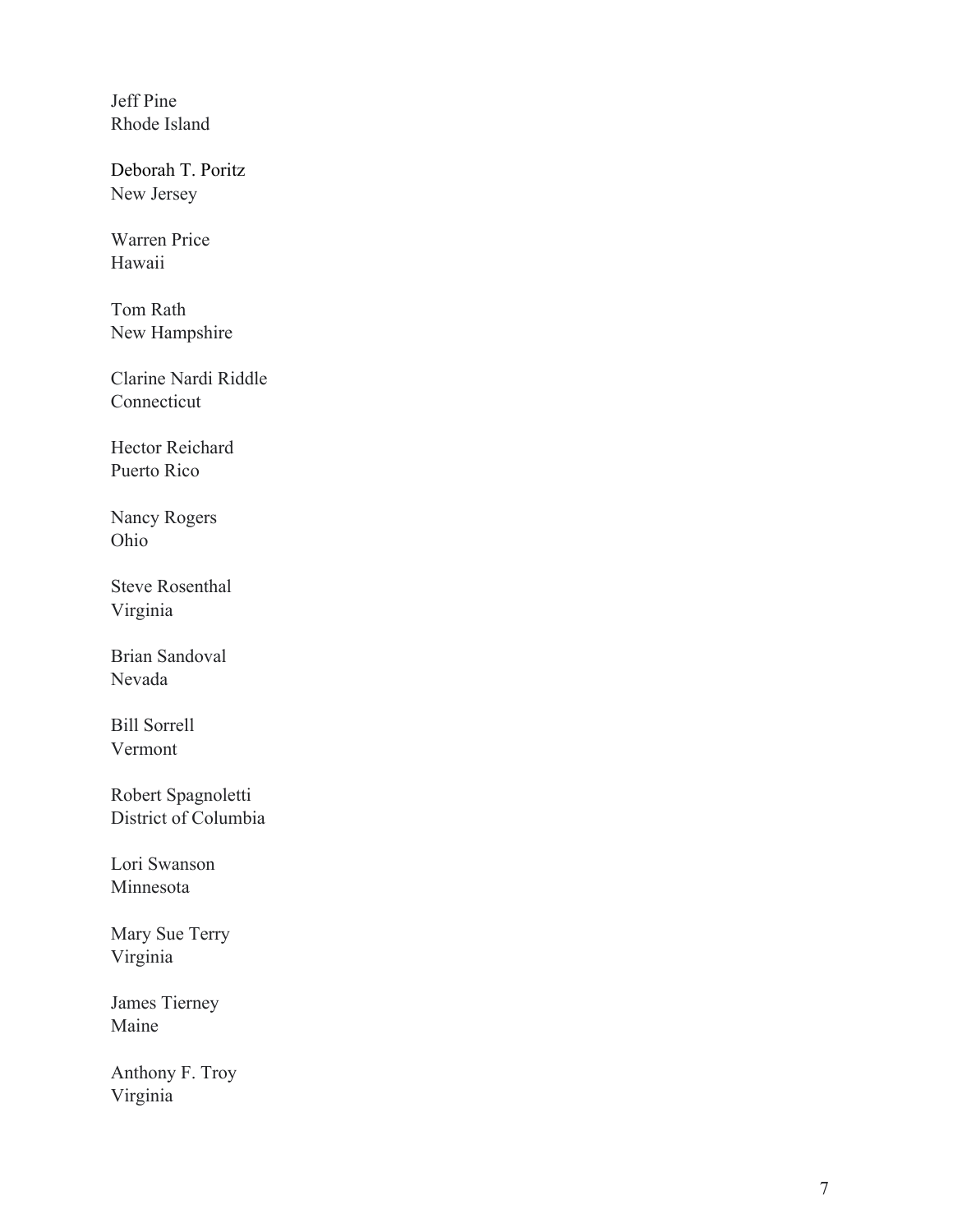Jeff Pine Rhode Island

Deborah T. Poritz New Jersey

Warren Price Hawaii

Tom Rath New Hampshire

Clarine Nardi Riddle Connecticut

Hector Reichard Puerto Rico

Nancy Rogers Ohio

Steve Rosenthal Virginia

Brian Sandoval Nevada

Bill Sorrell Vermont

Robert Spagnoletti District of Columbia

Lori Swanson Minnesota

Mary Sue Terry Virginia

James Tierney Maine

Anthony F. Troy Virginia